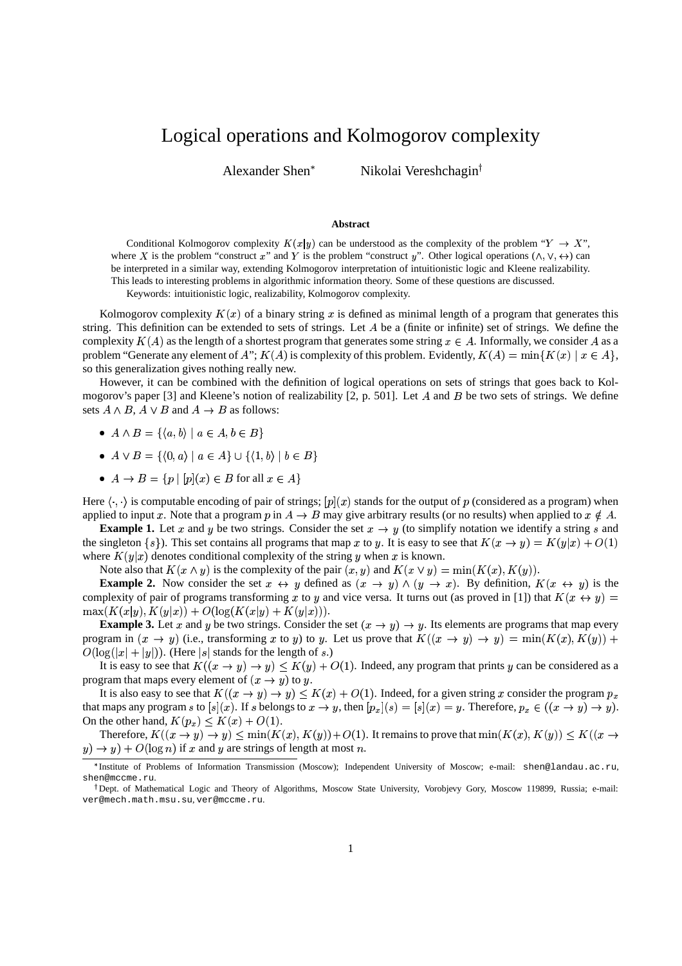## Logical operations and Kolmogorov complexity

Alexander Shen

Nikolai Vereshchagin

## **Abstract**

Conditional Kolmogorov complexity  $K(x|y)$  can be understood as the complexity of the problem " $Y \rightarrow X$ ", where X is the problem "construct x" and Y is the problem "construct y". Other logical operations ( $\wedge$ ,  $\vee$ ,  $\leftrightarrow$ ) can be interpreted in a similar way, extending Kolmogorov interpretation of intuitionistic logic and Kleene realizability. This leads to interesting problems in algorithmic information theory. Some of these questions are discussed.

Keywords: intuitionistic logic, realizability, Kolmogorov complexity.

Kolmogorov complexity  $K(x)$  of a binary string x is defined as minimal length of a program that generates this string. This definition can be extended to sets of strings. Let  $A$  be a (finite or infinite) set of strings. We define the complexity  $K(A)$  as the length of a shortest program that generates some string  $x \in A$ . Informally, we consider A as a problem "Generate any element of A";  $K(A)$  is complexity of this problem. Evidently,  $K(A) = \min\{K(x) \mid x \in A\}$ , so this generalization gives nothing really new.

However, it can be combined with the definition of logical operations on sets of strings that goes back to Kolmogorov's paper [3] and Kleene's notion of realizability [2, p. 501]. Let A and B be two sets of strings. We define sets  $A \wedge B$ ,  $A \vee B$  and  $A \rightarrow B$  as follows:

- $A \wedge B = \{ (a, b) \mid a \in A, b \in B \}$
- $\bullet$   $A \vee B = \{ (0, a) \mid a \in A \} \cup \{ (1, b) \mid b \in B \}$
- $\bullet \: A \to B = \{p \mid [p](x) \in B \text{ for all } x \in A\}$

Here  $\langle \cdot, \cdot \rangle$  is computable encoding of pair of strings;  $[p](x)$  stands for the output of p (considered as a program) when applied to input x. Note that a program  $p$  in  $A \to B$  may give arbitrary results (or no results) when applied to  $x \notin A$ .

**Example 1.** Let x and y be two strings. Consider the set  $x \to y$  (to simplify notation we identify a string s and the singleton  $\{s\}$ ). This set contains all programs that map x to y. It is easy to see that  $K(x \to y) = K(y|x) + O(1)$ where  $K(y|x)$  denotes conditional complexity of the string y when x is known.

Note also that  $K(x \wedge y)$  is the complexity of the pair  $(x, y)$  and  $K(x \vee y) = \min(K(x), K(y))$ .

**Example 2.** Now consider the set  $x \leftrightarrow y$  defined as  $(x \rightarrow y) \wedge (y \rightarrow x)$ . By definition,  $K(x \leftrightarrow y)$  is the complexity of pair of programs transforming x to y and vice versa. It turns out (as proved in [1]) that  $K(x \leftrightarrow y)$  =  $\max(K(x|y), K(y|x)) + O(\log(K(x|y) + K(y|x))).$ 

**Example 3.** Let x and y be two strings. Consider the set  $(x \rightarrow y) \rightarrow y$ . Its elements are programs that map every program in  $(x \to y)$  (i.e., transforming x to y) to y. Let us prove that  $K((x \to y) \to y) = \min(K(x), K(y))$  +  $O(\log(|x|+|y|))$ . (Here |s| stands for the length of s.)

It is easy to see that  $K((x \to y) \to y) \lt K(y) + O(1)$ . Indeed, any program that prints y can be considered as a program that maps every element of  $(x \rightarrow y)$  to y.

It is also easy to see that  $K((x \to y) \to y) \le K(x) + O(1)$ . Indeed, for a given string x consider the program  $p_x$ that maps any program s to  $[s](x)$ . If s belongs to  $x \to y$ , then  $[p_x](s) = [s](x) = y$ . Therefore,  $p_x \in ((x \to y) \to y)$ . On the other hand,  $K(p_x) \leq K(x) + O(1)$ .

Therefore,  $K((x \to y) \to y) \le \min(K(x), K(y))+O(1)$ . It remains to prove that  $\min(K(x), K(y)) \le K((x \to y))$  $y) \rightarrow y$  +  $O(\log n)$  if x and y are strings of length at most n.

Institute of Problems of Information Transmission (Moscow); Independent University of Moscow; e-mail: shen@landau.ac.ru, shen@mccme.ru.

<sup>&</sup>lt;sup>†</sup> Dept. of Mathematical Logic and Theory of Algorithms, Moscow State University, Vorobjevy Gory, Moscow 119899, Russia; e-mail: ver@mech.math.msu.su, ver@mccme.ru.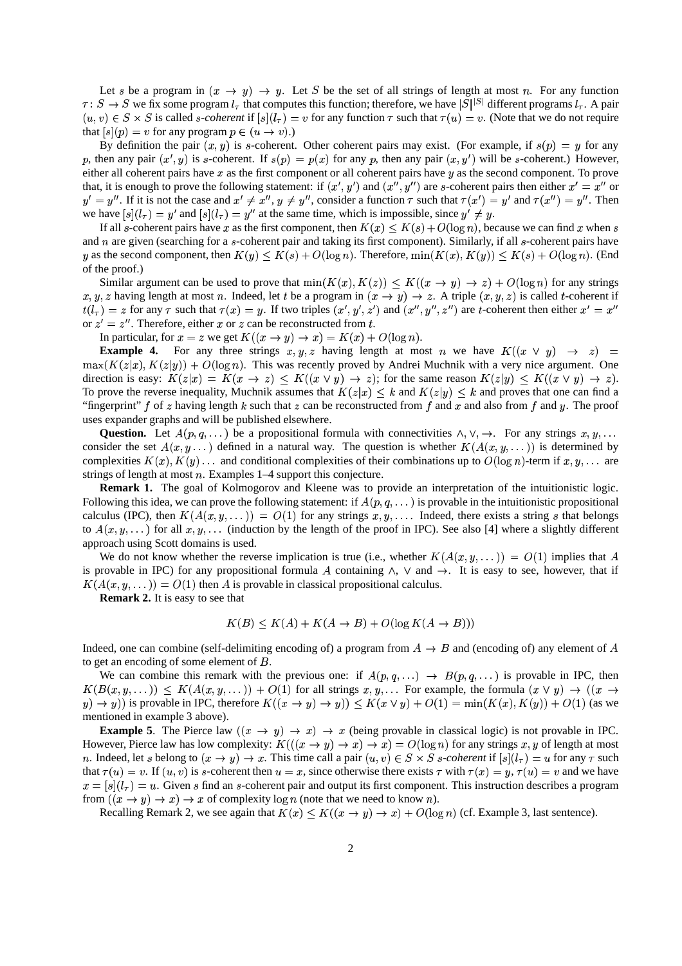Let s be a program in  $(x \to y) \to y$ . Let S be the set of all strings of length at most n. For any function  $\tau: S \to S$  we fix some program  $l_{\tau}$  that computes this function; therefore, we have  $|S|^{|S|}$  different programs  $l_{\tau}$ . A pair  $(u, v) \in S \times S$  is called *s-coherent* if  $[s](l_\tau) = v$  for any function  $\tau$  such that  $\tau(u) = v$ . (Note that we do not require that  $[s](p) = v$  for any program  $p \in (u \rightarrow v)$ .)

By definition the pair  $(x, y)$  is s-coherent. Other coherent pairs may exist. (For example, if  $s(p) = y$  for any p, then any pair  $(x', y)$  is s-coherent. If  $s(p) = p(x)$  for any p, then any pair  $(x, y')$  will be s-coherent.) However, either all coherent pairs have  $x$  as the first component or all coherent pairs have  $y$  as the second component. To prove that, it is enough to prove the following statement: if  $(x', y')$  and  $(x'', y'')$  are s-coherent pairs then either  $x' = x''$  or  $y' = y''$ . If it is not the case and  $x' \neq x''$ ,  $y \neq y''$ , consider a function  $\tau$  such that  $\tau(x') = y'$  and  $\tau(x'') = y''$ . Then we have  $[s](l_{\tau}) = y'$  and  $[s](l_{\tau}) = y''$  at the same time, which is impossible, since  $y' \neq y$ .

If all s-coherent pairs have x as the first component, then  $K(x) \le K(s) + O(\log n)$ , because we can find x when s and  $n$  are given (searching for a  $s$ -coherent pair and taking its first component). Similarly, if all  $s$ -coherent pairs have y as the second component, then  $K(y) \le K(s) + O(\log n)$ . Therefore,  $\min(K(x), K(y)) \le K(s) + O(\log n)$ . (End of the proof.)

Similar argument can be used to prove that  $\min(K(x), K(z)) \le K((x \to y) \to z) + O(\log n)$  for any strings x, y, z having length at most n. Indeed, let t be a program in  $(x \to y) \to z$ . A triple  $(x, y, z)$  is called t-coherent if  $t(l_\tau) = z$  for any  $\tau$  such that  $\tau(x) = y$ . If two triples  $(x', y', z')$  and  $(x'', y'', z'')$  are t-coherent then either  $x' = x''$ or  $z' = z''$ . Therefore, either x or z can be reconstructed from t.

In particular, for  $x = z$  we get  $K((x \rightarrow y) \rightarrow x) = K(x) + O(\log n)$ .

**Example 4.** For any three strings  $x, y, z$  having length at most *n* we have  $K((x \vee y) \rightarrow z)$  $\max(K(z|x), K(z|y)) + O(\log n)$ . This was recently proved by Andrei Muchnik with a very nice argument. One direction is easy:  $K(z|x) = K(x \to z) \leq K((x \vee y) \to z)$ ; for the same reason  $K(z|y) \leq K((x \vee y) \to z)$ . To prove the reverse inequality, Muchnik assumes that  $K(z|x) < k$  and  $K(z|y) < k$  and proves that one can find a "fingerprint" f of z having length k such that z can be reconstructed from f and x and also from f and y. The proof uses expander graphs and will be published elsewhere.

**Question.** Let  $A(p, q, \ldots)$  be a propositional formula with connectivities  $\wedge, \vee, \rightarrow$ . For any strings  $x, y, \ldots$ consider the set  $A(x, y, \dots)$  defined in a natural way. The question is whether  $K(A(x, y, \dots))$  is determined by complexities  $K(x)$ ,  $K(y)$ ... and conditional complexities of their combinations up to  $O(\log n)$ -term if  $x, y, \ldots$  are strings of length at most  $n$ . Examples 1–4 support this conjecture.

**Remark 1.** The goal of Kolmogorov and Kleene was to provide an interpretation of the intuitionistic logic. Following this idea, we can prove the following statement: if  $A(p,q,\ldots)$  is provable in the intuitionistic propositional calculus (IPC), then  $K(A(x, y, \dots)) = O(1)$  for any strings x, y,.... Indeed, there exists a string s that belongs to  $A(x, y, \dots)$  for all  $x, y, \dots$  (induction by the length of the proof in IPC). See also [4] where a slightly different approach using Scott domains is used.

We do not know whether the reverse implication is true (i.e., whether  $K(A(x, y, \dots)) = O(1)$  implies that A is provable in IPC) for any propositional formula A containing  $\wedge$ ,  $\vee$  and  $\rightarrow$ . It is easy to see, however, that if  $K(A(x, y, \dots)) = O(1)$  then A is provable in classical propositional calculus.

**Remark 2.** It is easy to see that

$$
K(B) \le K(A) + K(A \to B) + O(\log K(A \to B)))
$$

Indeed, one can combine (self-delimiting encoding of) a program from  $A \rightarrow B$  and (encoding of) any element of A to get an encoding of some element of  $B$ .

We can combine this remark with the previous one: if  $A(p,q,...) \rightarrow B(p,q,...)$  is provable in IPC, then  $K(B(x,y,...)) \leq K(A(x,y,...)) + O(1)$  for all strings  $x,y,...$  For example, the formula  $(x \vee y) \rightarrow ((x \rightarrow y))$  $\ell(y) \to y$ ) is provable in IPC, therefore  $K((x \to y) \to y)) \le K(x \lor y) + O(1) = \min(K(x), K(y)) + O(1)$  (as we mentioned in example 3 above).

**Example 5.** The Pierce law  $((x \rightarrow y) \rightarrow x) \rightarrow x$  (being provable in classical logic) is not provable in IPC. However, Pierce law has low complexity:  $K(((x \rightarrow y) \rightarrow x) \rightarrow x) = O(\log n)$  for any strings x, y of length at most n. Indeed, let s belong to  $(x \to y) \to x$ . This time call a pair  $(u, v) \in S \times S$  s-coherent if  $[s](l_\tau) = u$  for any  $\tau$  such that  $\tau(u) = v$ . If  $(u, v)$  is s-coherent then  $u = x$ , since otherwise there exists  $\tau$  with  $\tau(x) = y$ ,  $\tau(u) = v$  and we have  $x = [s](l_x) = u$ . Given s find an s-coherent pair and output its first component. This instruction describes a program from  $((x \rightarrow y) \rightarrow x) \rightarrow x$  of complexity  $\log n$  (note that we need to know n).

Recalling Remark 2, we see again that  $K(x) \le K((x \rightarrow y) \rightarrow x) + O(\log n)$  (cf. Example 3, last sentence).